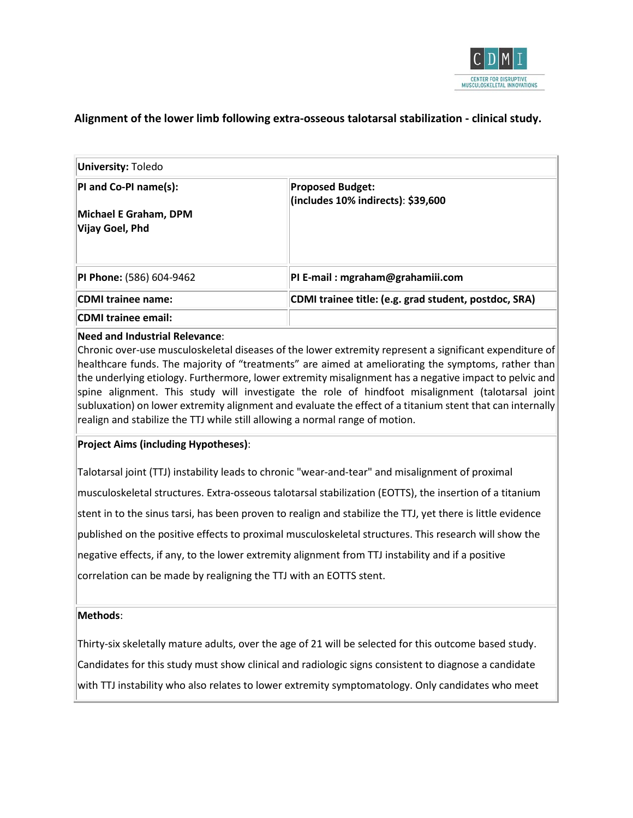

# **Alignment of the lower limb following extra-osseous talotarsal stabilization - clinical study.**

| University: Toledo              |                                                               |  |  |
|---------------------------------|---------------------------------------------------------------|--|--|
| PI and Co-PI name(s):           | <b>Proposed Budget:</b><br>(includes 10% indirects): \$39,600 |  |  |
| Michael E Graham, DPM           |                                                               |  |  |
| Vijay Goel, Phd                 |                                                               |  |  |
|                                 |                                                               |  |  |
| <b>PI Phone:</b> (586) 604-9462 | PI E-mail: mgraham@grahamiii.com                              |  |  |
| CDMI trainee name:              | CDMI trainee title: (e.g. grad student, postdoc, SRA)         |  |  |
| CDMI trainee email:             |                                                               |  |  |

#### **Need and Industrial Relevance**:

Chronic over-use musculoskeletal diseases of the lower extremity represent a significant expenditure of healthcare funds. The majority of "treatments" are aimed at ameliorating the symptoms, rather than the underlying etiology. Furthermore, lower extremity misalignment has a negative impact to pelvic and spine alignment. This study will investigate the role of hindfoot misalignment (talotarsal joint subluxation) on lower extremity alignment and evaluate the effect of a titanium stent that can internally realign and stabilize the TTJ while still allowing a normal range of motion.

#### **Project Aims (including Hypotheses)**:

Talotarsal joint (TTJ) instability leads to chronic "wear-and-tear" and misalignment of proximal musculoskeletal structures. Extra-osseous talotarsal stabilization (EOTTS), the insertion of a titanium stent in to the sinus tarsi, has been proven to realign and stabilize the TTJ, yet there is little evidence published on the positive effects to proximal musculoskeletal structures. This research will show the negative effects, if any, to the lower extremity alignment from TTJ instability and if a positive correlation can be made by realigning the TTJ with an EOTTS stent.

#### **Methods**:

Thirty-six skeletally mature adults, over the age of 21 will be selected for this outcome based study. Candidates for this study must show clinical and radiologic signs consistent to diagnose a candidate with TTJ instability who also relates to lower extremity symptomatology. Only candidates who meet